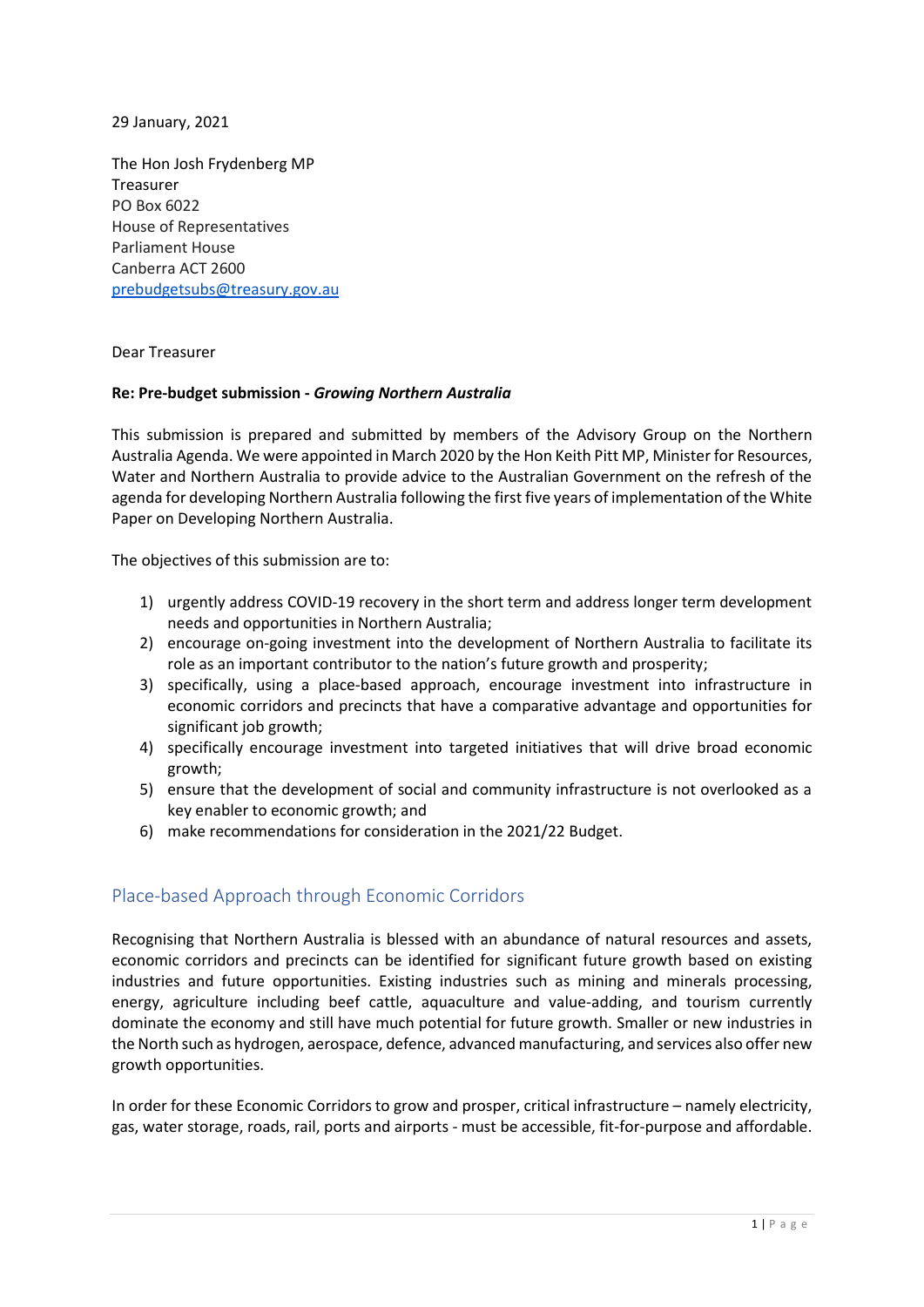29 January, 2021

The Hon Josh Frydenberg MP Treasurer PO Box 6022 House of Representatives Parliament House Canberra ACT 2600 [prebudgetsubs@treasury.gov.au](mailto:prebudgetsubs@treasury.gov.au)

Dear Treasurer

### **Re: Pre-budget submission -** *Growing Northern Australia*

This submission is prepared and submitted by members of the Advisory Group on the Northern Australia Agenda. We were appointed in March 2020 by the Hon Keith Pitt MP, Minister for Resources, Water and Northern Australia to provide advice to the Australian Government on the refresh of the agenda for developing Northern Australia following the first five years of implementation of the White Paper on Developing Northern Australia.

The objectives of this submission are to:

- 1) urgently address COVID-19 recovery in the short term and address longer term development needs and opportunities in Northern Australia;
- 2) encourage on-going investment into the development of Northern Australia to facilitate its role as an important contributor to the nation's future growth and prosperity;
- 3) specifically, using a place-based approach, encourage investment into infrastructure in economic corridors and precincts that have a comparative advantage and opportunities for significant job growth:
- 4) specifically encourage investment into targeted initiatives that will drive broad economic growth;
- 5) ensure that the development of social and community infrastructure is not overlooked as a key enabler to economic growth; and
- 6) make recommendations for consideration in the 2021/22 Budget.

### Place-based Approach through Economic Corridors

Recognising that Northern Australia is blessed with an abundance of natural resources and assets, economic corridors and precincts can be identified for significant future growth based on existing industries and future opportunities. Existing industries such as mining and minerals processing, energy, agriculture including beef cattle, aquaculture and value-adding, and tourism currently dominate the economy and still have much potential for future growth. Smaller or new industries in the North such as hydrogen, aerospace, defence, advanced manufacturing, and services also offer new growth opportunities.

In order for these Economic Corridors to grow and prosper, critical infrastructure – namely electricity, gas, water storage, roads, rail, ports and airports - must be accessible, fit-for-purpose and affordable.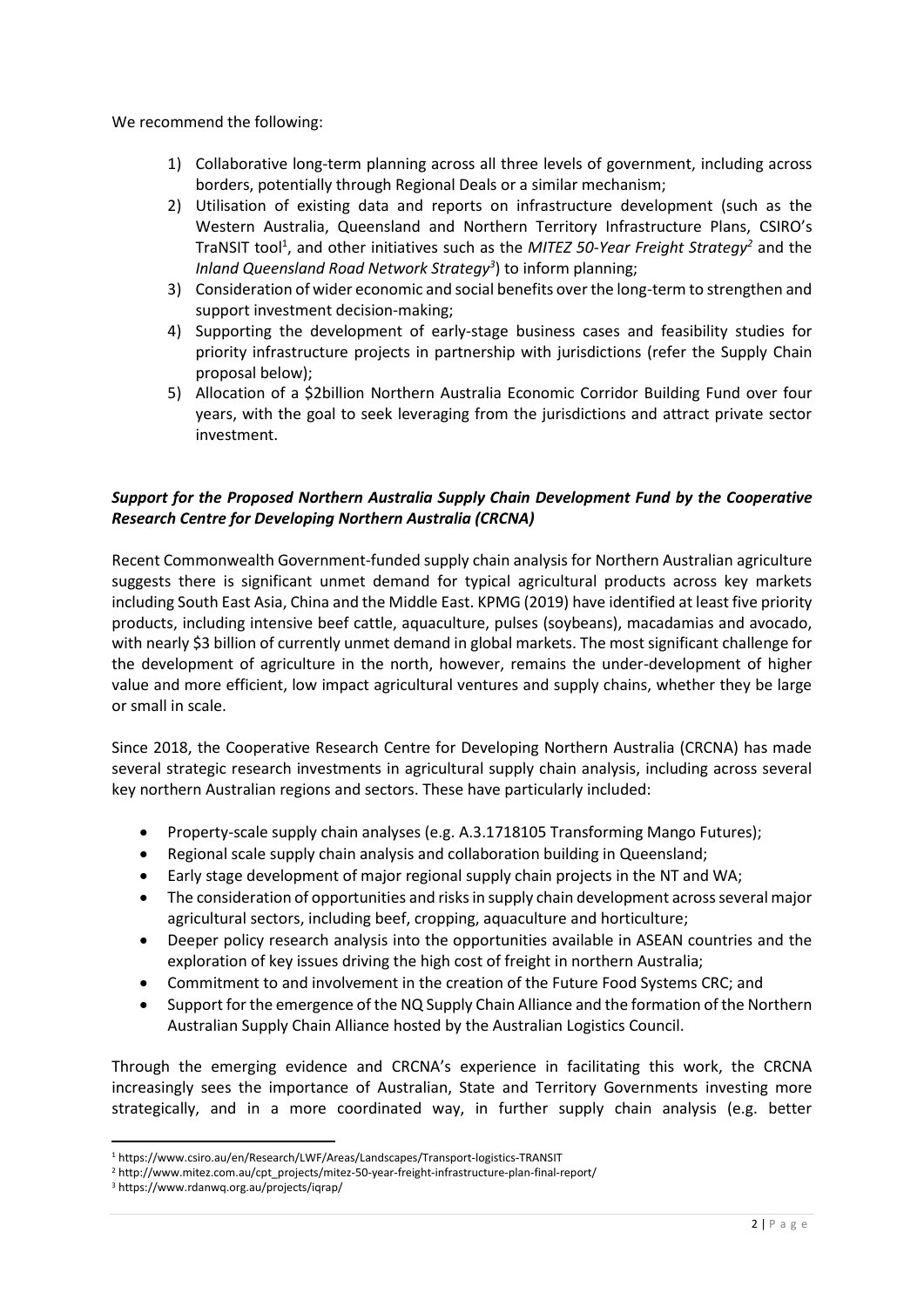We recommend the following:

- 1) Collaborative long-term planning across all three levels of government, including across borders, potentially through Regional Deals or a similar mechanism;
- 2) Utilisation of existing data and reports on infrastructure development (such as the Western Australia, Queensland and Northern Territory Infrastructure Plans, CSIRO's TraNSIT tool<sup>1</sup>, and other initiatives such as the *MITEZ 50-Year Freight Strategy<sup>2</sup>* and the *Inland Queensland Road Network Strategy<sup>3</sup>* ) to inform planning;
- 3) Consideration of wider economic and social benefits over the long-term to strengthen and support investment decision-making;
- 4) Supporting the development of early-stage business cases and feasibility studies for priority infrastructure projects in partnership with jurisdictions (refer the Supply Chain proposal below);
- 5) Allocation of a \$2billion Northern Australia Economic Corridor Building Fund over four years, with the goal to seek leveraging from the jurisdictions and attract private sector investment.

## *Support for the Proposed Northern Australia Supply Chain Development Fund by the Cooperative Research Centre for Developing Northern Australia (CRCNA)*

Recent Commonwealth Government-funded supply chain analysis for Northern Australian agriculture suggests there is significant unmet demand for typical agricultural products across key markets including South East Asia, China and the Middle East. KPMG (2019) have identified at least five priority products, including intensive beef cattle, aquaculture, pulses (soybeans), macadamias and avocado, with nearly \$3 billion of currently unmet demand in global markets. The most significant challenge for the development of agriculture in the north, however, remains the under-development of higher value and more efficient, low impact agricultural ventures and supply chains, whether they be large or small in scale.

Since 2018, the Cooperative Research Centre for Developing Northern Australia (CRCNA) has made several strategic research investments in agricultural supply chain analysis, including across several key northern Australian regions and sectors. These have particularly included:

- Property-scale supply chain analyses (e.g. A.3.1718105 Transforming Mango Futures);
- Regional scale supply chain analysis and collaboration building in Queensland;
- Early stage development of major regional supply chain projects in the NT and WA;
- The consideration of opportunities and risks in supply chain development across several major agricultural sectors, including beef, cropping, aquaculture and horticulture;
- Deeper policy research analysis into the opportunities available in ASEAN countries and the exploration of key issues driving the high cost of freight in northern Australia;
- Commitment to and involvement in the creation of the Future Food Systems CRC; and
- Support for the emergence of the NQ Supply Chain Alliance and the formation of the Northern Australian Supply Chain Alliance hosted by the Australian Logistics Council.

Through the emerging evidence and CRCNA's experience in facilitating this work, the CRCNA increasingly sees the importance of Australian, State and Territory Governments investing more strategically, and in a more coordinated way, in further supply chain analysis (e.g. better

<sup>1</sup> https://www.csiro.au/en/Research/LWF/Areas/Landscapes/Transport-logistics-TRANSIT

<sup>&</sup>lt;sup>2</sup> http://www.mitez.com.au/cpt\_projects/mitez-50-year-freight-infrastructure-plan-final-report/

<sup>3</sup> https://www.rdanwq.org.au/projects/iqrap/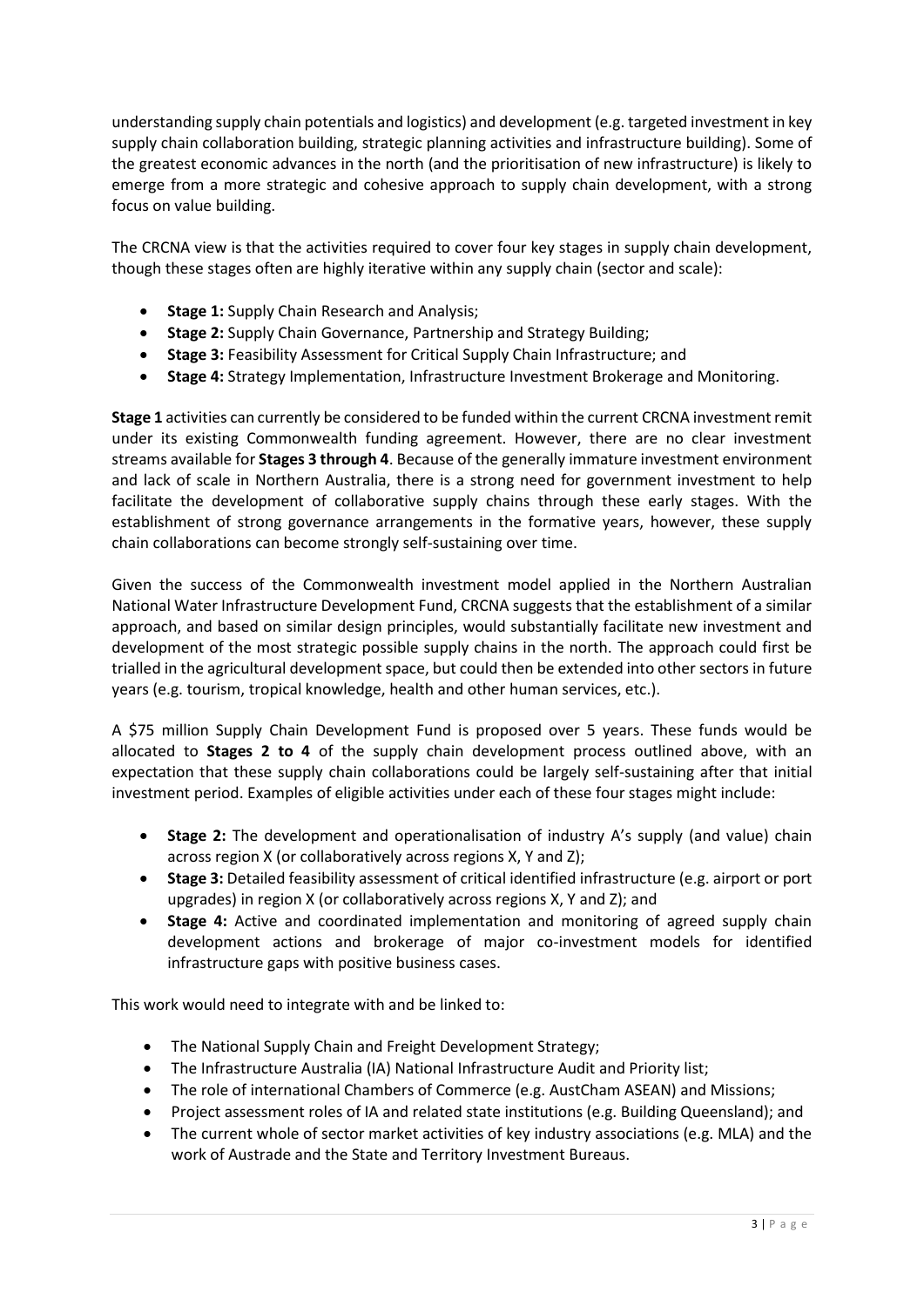understanding supply chain potentials and logistics) and development (e.g. targeted investment in key supply chain collaboration building, strategic planning activities and infrastructure building). Some of the greatest economic advances in the north (and the prioritisation of new infrastructure) is likely to emerge from a more strategic and cohesive approach to supply chain development, with a strong focus on value building.

The CRCNA view is that the activities required to cover four key stages in supply chain development, though these stages often are highly iterative within any supply chain (sector and scale):

- **Stage 1:** Supply Chain Research and Analysis;
- **Stage 2:** Supply Chain Governance, Partnership and Strategy Building;
- **Stage 3:** Feasibility Assessment for Critical Supply Chain Infrastructure; and
- **Stage 4:** Strategy Implementation, Infrastructure Investment Brokerage and Monitoring.

**Stage 1** activities can currently be considered to be funded within the current CRCNA investment remit under its existing Commonwealth funding agreement. However, there are no clear investment streams available for **Stages 3 through 4**. Because of the generally immature investment environment and lack of scale in Northern Australia, there is a strong need for government investment to help facilitate the development of collaborative supply chains through these early stages. With the establishment of strong governance arrangements in the formative years, however, these supply chain collaborations can become strongly self-sustaining over time.

Given the success of the Commonwealth investment model applied in the Northern Australian National Water Infrastructure Development Fund, CRCNA suggests that the establishment of a similar approach, and based on similar design principles, would substantially facilitate new investment and development of the most strategic possible supply chains in the north. The approach could first be trialled in the agricultural development space, but could then be extended into other sectors in future years (e.g. tourism, tropical knowledge, health and other human services, etc.).

A \$75 million Supply Chain Development Fund is proposed over 5 years. These funds would be allocated to **Stages 2 to 4** of the supply chain development process outlined above, with an expectation that these supply chain collaborations could be largely self-sustaining after that initial investment period. Examples of eligible activities under each of these four stages might include:

- **Stage 2:** The development and operationalisation of industry A's supply (and value) chain across region X (or collaboratively across regions X, Y and Z);
- **Stage 3:** Detailed feasibility assessment of critical identified infrastructure (e.g. airport or port upgrades) in region X (or collaboratively across regions X, Y and Z); and
- **Stage 4:** Active and coordinated implementation and monitoring of agreed supply chain development actions and brokerage of major co-investment models for identified infrastructure gaps with positive business cases.

This work would need to integrate with and be linked to:

- The National Supply Chain and Freight Development Strategy;
- The Infrastructure Australia (IA) National Infrastructure Audit and Priority list;
- The role of international Chambers of Commerce (e.g. AustCham ASEAN) and Missions;
- Project assessment roles of IA and related state institutions (e.g. Building Queensland); and
- The current whole of sector market activities of key industry associations (e.g. MLA) and the work of Austrade and the State and Territory Investment Bureaus.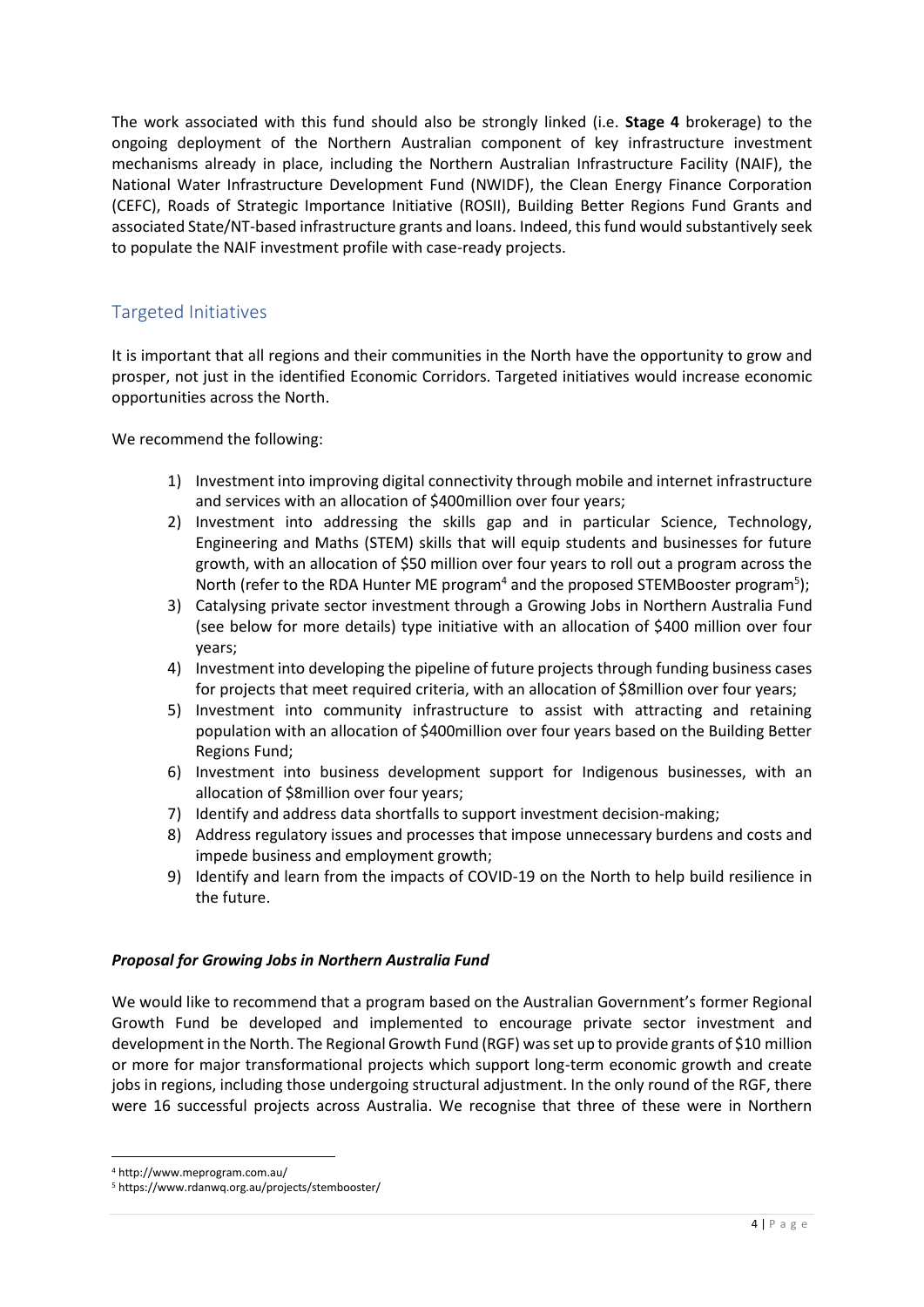The work associated with this fund should also be strongly linked (i.e. **Stage 4** brokerage) to the ongoing deployment of the Northern Australian component of key infrastructure investment mechanisms already in place, including the Northern Australian Infrastructure Facility (NAIF), the National Water Infrastructure Development Fund (NWIDF), the Clean Energy Finance Corporation (CEFC), Roads of Strategic Importance Initiative (ROSII), Building Better Regions Fund Grants and associated State/NT-based infrastructure grants and loans. Indeed, this fund would substantively seek to populate the NAIF investment profile with case-ready projects.

# Targeted Initiatives

It is important that all regions and their communities in the North have the opportunity to grow and prosper, not just in the identified Economic Corridors. Targeted initiatives would increase economic opportunities across the North.

We recommend the following:

- 1) Investment into improving digital connectivity through mobile and internet infrastructure and services with an allocation of \$400million over four years;
- 2) Investment into addressing the skills gap and in particular Science, Technology, Engineering and Maths (STEM) skills that will equip students and businesses for future growth, with an allocation of \$50 million over four years to roll out a program across the North (refer to the RDA Hunter ME program<sup>4</sup> and the proposed STEMBooster program<sup>5</sup>);
- 3) Catalysing private sector investment through a Growing Jobs in Northern Australia Fund (see below for more details) type initiative with an allocation of \$400 million over four years;
- 4) Investment into developing the pipeline of future projects through funding business cases for projects that meet required criteria, with an allocation of \$8million over four years;
- 5) Investment into community infrastructure to assist with attracting and retaining population with an allocation of \$400million over four years based on the Building Better Regions Fund;
- 6) Investment into business development support for Indigenous businesses, with an allocation of \$8million over four years;
- 7) Identify and address data shortfalls to support investment decision-making;
- 8) Address regulatory issues and processes that impose unnecessary burdens and costs and impede business and employment growth;
- 9) Identify and learn from the impacts of COVID-19 on the North to help build resilience in the future.

### *Proposal for Growing Jobs in Northern Australia Fund*

We would like to recommend that a program based on the Australian Government's former Regional Growth Fund be developed and implemented to encourage private sector investment and development in the North. The Regional Growth Fund (RGF) was set up to provide grants of \$10 million or more for major transformational projects which support long-term economic growth and create jobs in regions, including those undergoing structural adjustment. In the only round of the RGF, there were 16 successful projects across Australia. We recognise that three of these were in Northern

<sup>4</sup> http://www.meprogram.com.au/

<sup>5</sup> https://www.rdanwq.org.au/projects/stembooster/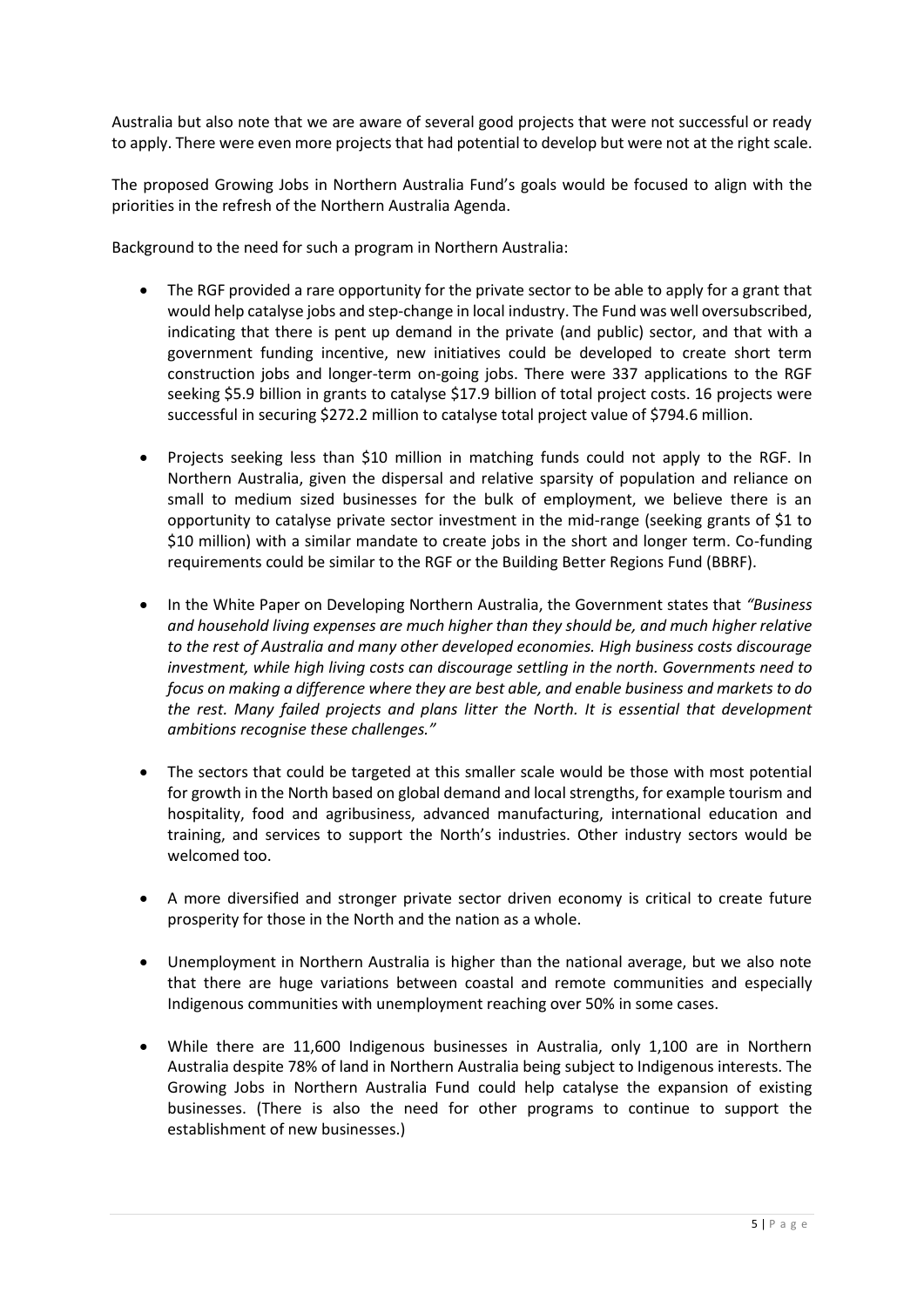Australia but also note that we are aware of several good projects that were not successful or ready to apply. There were even more projects that had potential to develop but were not at the right scale.

The proposed Growing Jobs in Northern Australia Fund's goals would be focused to align with the priorities in the refresh of the Northern Australia Agenda.

Background to the need for such a program in Northern Australia:

- The RGF provided a rare opportunity for the private sector to be able to apply for a grant that would help catalyse jobs and step-change in local industry. The Fund was well oversubscribed, indicating that there is pent up demand in the private (and public) sector, and that with a government funding incentive, new initiatives could be developed to create short term construction jobs and longer-term on-going jobs. There were 337 applications to the RGF seeking \$5.9 billion in grants to catalyse \$17.9 billion of total project costs. 16 projects were successful in securing \$272.2 million to catalyse total project value of \$794.6 million.
- Projects seeking less than \$10 million in matching funds could not apply to the RGF. In Northern Australia, given the dispersal and relative sparsity of population and reliance on small to medium sized businesses for the bulk of employment, we believe there is an opportunity to catalyse private sector investment in the mid-range (seeking grants of \$1 to \$10 million) with a similar mandate to create jobs in the short and longer term. Co-funding requirements could be similar to the RGF or the Building Better Regions Fund (BBRF).
- In the White Paper on Developing Northern Australia, the Government states that *"Business and household living expenses are much higher than they should be, and much higher relative to the rest of Australia and many other developed economies. High business costs discourage investment, while high living costs can discourage settling in the north. Governments need to focus on making a difference where they are best able, and enable business and markets to do the rest. Many failed projects and plans litter the North. It is essential that development ambitions recognise these challenges."*
- The sectors that could be targeted at this smaller scale would be those with most potential for growth in the North based on global demand and local strengths, for example tourism and hospitality, food and agribusiness, advanced manufacturing, international education and training, and services to support the North's industries. Other industry sectors would be welcomed too.
- A more diversified and stronger private sector driven economy is critical to create future prosperity for those in the North and the nation as a whole.
- Unemployment in Northern Australia is higher than the national average, but we also note that there are huge variations between coastal and remote communities and especially Indigenous communities with unemployment reaching over 50% in some cases.
- While there are 11,600 Indigenous businesses in Australia, only 1,100 are in Northern Australia despite 78% of land in Northern Australia being subject to Indigenous interests. The Growing Jobs in Northern Australia Fund could help catalyse the expansion of existing businesses. (There is also the need for other programs to continue to support the establishment of new businesses.)